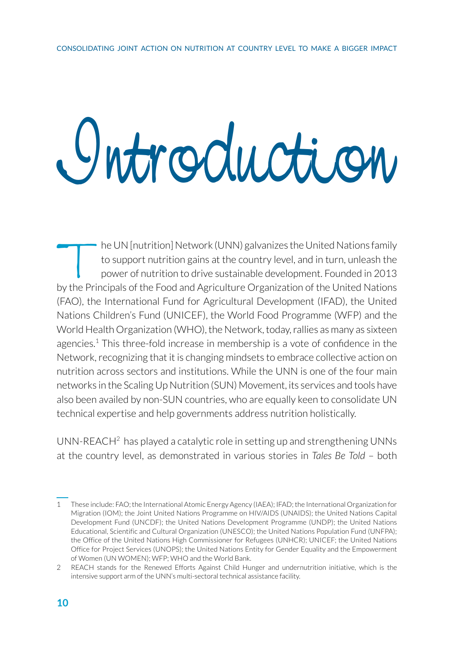## Introduction

The UN [nutrition] Network (UNN) galvanizes the United Nations family<br>to support nutrition gains at the country level, and in turn, unleash the<br>power of nutrition to drive sustainable development. Founded in 2013<br>av the Pr to support nutrition gains at the country level, and in turn, unleash the power of nutrition to drive sustainable development. Founded in 2013 by the Principals of the Food and Agriculture Organization of the United Nations (FAO), the International Fund for Agricultural Development (IFAD), the United Nations Children's Fund (UNICEF), the World Food Programme (WFP) and the World Health Organization (WHO), the Network, today, rallies as many as sixteen agencies.<sup>1</sup> This three-fold increase in membership is a vote of confidence in the Network, recognizing that it is changing mindsets to embrace collective action on nutrition across sectors and institutions. While the UNN is one of the four main networks in the Scaling Up Nutrition (SUN) Movement, its services and tools have also been availed by non-SUN countries, who are equally keen to consolidate UN technical expertise and help governments address nutrition holistically.

UNN-REACH $^2$  has played a catalytic role in setting up and strengthening UNNs at the country level, as demonstrated in various stories in *Tales Be Told* – both

<sup>1</sup> These include: FAO; the International Atomic Energy Agency (IAEA); IFAD; the International Organization for Migration (IOM); the Joint United Nations Programme on HIV/AIDS (UNAIDS); the United Nations Capital Development Fund (UNCDF); the United Nations Development Programme (UNDP); the United Nations Educational, Scientific and Cultural Organization (UNESCO); the United Nations Population Fund (UNFPA); the Office of the United Nations High Commissioner for Refugees (UNHCR); UNICEF; the United Nations Office for Project Services (UNOPS); the United Nations Entity for Gender Equality and the Empowerment of Women (UN WOMEN); WFP; WHO and the World Bank.

<sup>2</sup> REACH stands for the Renewed Efforts Against Child Hunger and undernutrition initiative, which is the intensive support arm of the UNN's multi-sectoral technical assistance facility.